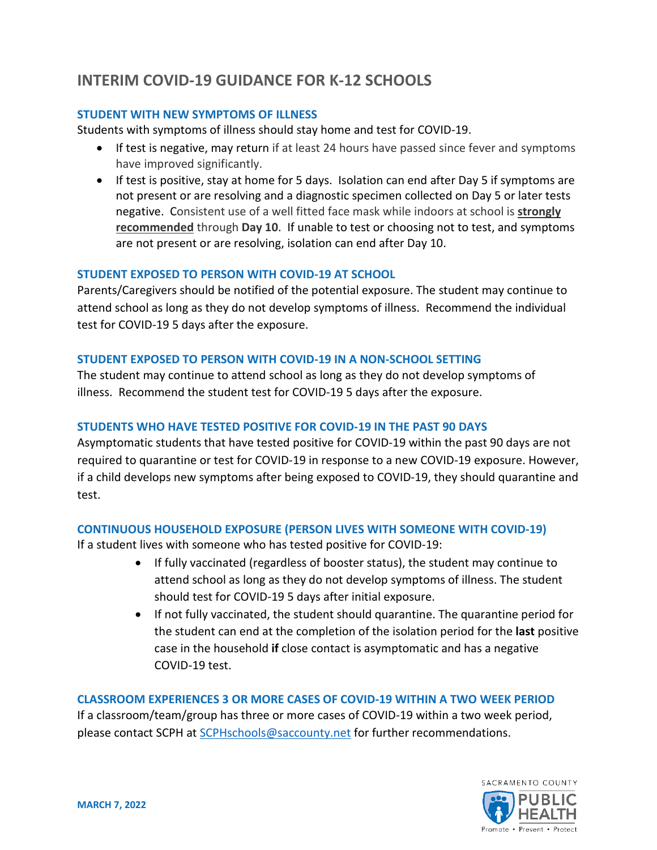# **INTERIM COVID-19 GUIDANCE FOR K-12 SCHOOLS**

#### **STUDENT WITH NEW SYMPTOMS OF ILLNESS**

Students with symptoms of illness should stay home and test for COVID-19.

- If test is negative, may return if at least 24 hours have passed since fever and symptoms have improved significantly.
- If test is positive, stay at home for 5 days. Isolation can end after Day 5 if symptoms are not present or are resolving and a diagnostic specimen collected on Day 5 or later tests negative. Consistent use of a well fitted face mask while indoors at school is **strongly recommended** through **Day 10**. If unable to test or choosing not to test, and symptoms are not present or are resolving, isolation can end after Day 10.

#### **STUDENT EXPOSED TO PERSON WITH COVID-19 AT SCHOOL**

Parents/Caregivers should be notified of the potential exposure. The student may continue to attend school as long as they do not develop symptoms of illness. Recommend the individual test for COVID-19 5 days after the exposure.

#### **STUDENT EXPOSED TO PERSON WITH COVID-19 IN A NON-SCHOOL SETTING**

The student may continue to attend school as long as they do not develop symptoms of illness. Recommend the student test for COVID-19 5 days after the exposure.

### **STUDENTS WHO HAVE TESTED POSITIVE FOR COVID-19 IN THE PAST 90 DAYS**

Asymptomatic students that have tested positive for COVID-19 within the past 90 days are not required to quarantine or test for COVID-19 in response to a new COVID-19 exposure. However, if a child develops new symptoms after being exposed to COVID-19, they should quarantine and test.

## **CONTINUOUS HOUSEHOLD EXPOSURE (PERSON LIVES WITH SOMEONE WITH COVID-19)**

If a student lives with someone who has tested positive for COVID-19:

- If fully vaccinated (regardless of booster status), the student may continue to attend school as long as they do not develop symptoms of illness. The student should test for COVID-19 5 days after initial exposure.
- If not fully vaccinated, the student should quarantine. The quarantine period for the student can end at the completion of the isolation period for the **last** positive case in the household **if** close contact is asymptomatic and has a negative COVID-19 test.

#### **CLASSROOM EXPERIENCES 3 OR MORE CASES OF COVID-19 WITHIN A TWO WEEK PERIOD**

If a classroom/team/group has three or more cases of COVID-19 within a two week period, please contact SCPH at [SCPHschools@saccounty.net](mailto:SCPHschools@saccounty.net) for further recommendations.